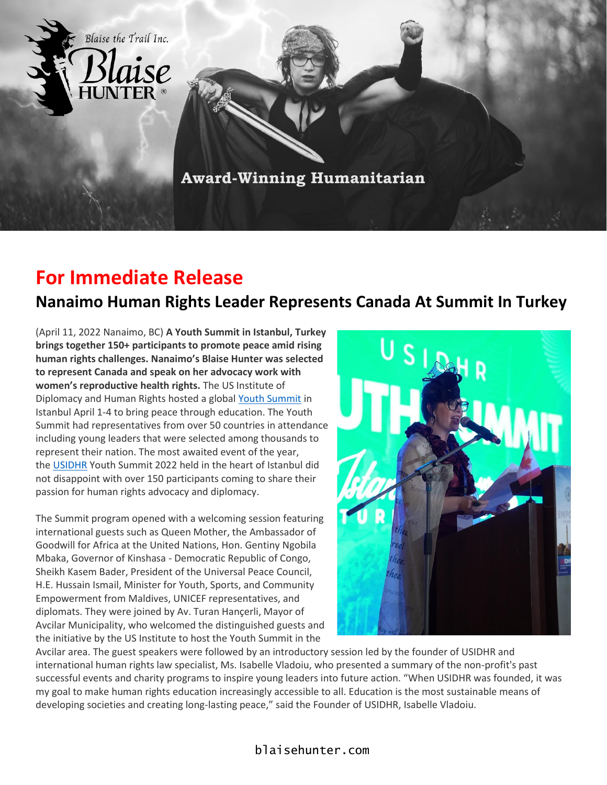

## **For Immediate Release**

## **Nanaimo Human Rights Leader Represents Canada At Summit In Turkey**

(April 11, 2022 Nanaimo, BC) **A Youth Summit in Istanbul, Turkey brings together 150+ participants to promote peace amid rising human rights challenges. Nanaimo's Blaise Hunter was selected to represent Canada and speak on her advocacy work with women's reproductive health rights.** The US Institute of Diplomacy and Human Rights hosted a global [Youth Summit](https://usidhr.org/youthsummit2022) in Istanbul April 1-4 to bring peace through education. The Youth Summit had representatives from over 50 countries in attendance including young leaders that were selected among thousands to represent their nation. The most awaited event of the year, the [USIDHR](https://usidhr.org/) Youth Summit 2022 held in the heart of Istanbul did not disappoint with over 150 participants coming to share their passion for human rights advocacy and diplomacy.

The Summit program opened with a welcoming session featuring international guests such as Queen Mother, the Ambassador of Goodwill for Africa at the United Nations, Hon. Gentiny Ngobila Mbaka, Governor of Kinshasa - Democratic Republic of Congo, Sheikh Kasem Bader, President of the Universal Peace Council, H.E. Hussain Ismail, Minister for Youth, Sports, and Community Empowerment from Maldives, UNICEF representatives, and diplomats. They were joined by Av. Turan Hançerli, Mayor of Avcilar Municipality, who welcomed the distinguished guests and the initiative by the US Institute to host the Youth Summit in the



Avcilar area. The guest speakers were followed by an introductory session led by the founder of USIDHR and international human rights law specialist, Ms. Isabelle Vladoiu, who presented a summary of the non-profit's past successful events and charity programs to inspire young leaders into future action. "When USIDHR was founded, it was my goal to make human rights education increasingly accessible to all. Education is the most sustainable means of developing societies and creating long-lasting peace," said the Founder of USIDHR, Isabelle Vladoiu.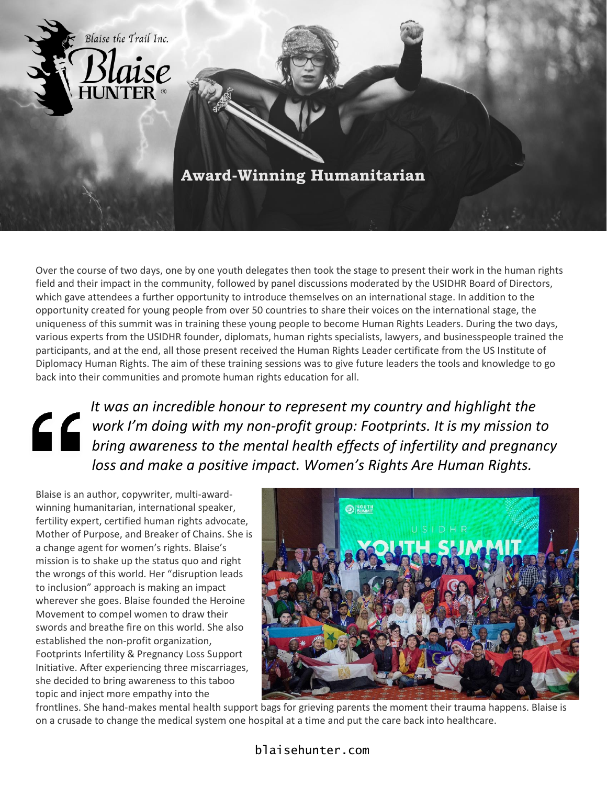

Over the course of two days, one by one youth delegates then took the stage to present their work in the human rights field and their impact in the community, followed by panel discussions moderated by the USIDHR Board of Directors, which gave attendees a further opportunity to introduce themselves on an international stage. In addition to the opportunity created for young people from over 50 countries to share their voices on the international stage, the uniqueness of this summit was in training these young people to become Human Rights Leaders. During the two days, various experts from the USIDHR founder, diplomats, human rights specialists, lawyers, and businesspeople trained the participants, and at the end, all those present received the Human Rights Leader certificate from the US Institute of Diplomacy Human Rights. The aim of these training sessions was to give future leaders the tools and knowledge to go back into their communities and promote human rights education for all.

*It was an incredible honour to represent my country and highlight the work I'm doing with my non-profit group: Footprints. It is my mission to bring awareness to the mental health effects of infertility and pregnancy loss and make a positive impact. Women's Rights Are Human Rights.*

Blaise is an author, copywriter, multi-awardwinning humanitarian, international speaker, fertility expert, certified human rights advocate, Mother of Purpose, and Breaker of Chains. She is a change agent for women's rights. Blaise's mission is to shake up the status quo and right the wrongs of this world. Her "disruption leads to inclusion" approach is making an impact wherever she goes. Blaise founded the Heroine Movement to compel women to draw their swords and breathe fire on this world. She also established the non-profit organization, Footprints Infertility & Pregnancy Loss Support Initiative. After experiencing three miscarriages, she decided to bring awareness to this taboo topic and inject more empathy into the



frontlines. She hand-makes mental health support bags for grieving parents the moment their trauma happens. Blaise is on a crusade to change the medical system one hospital at a time and put the care back into healthcare.